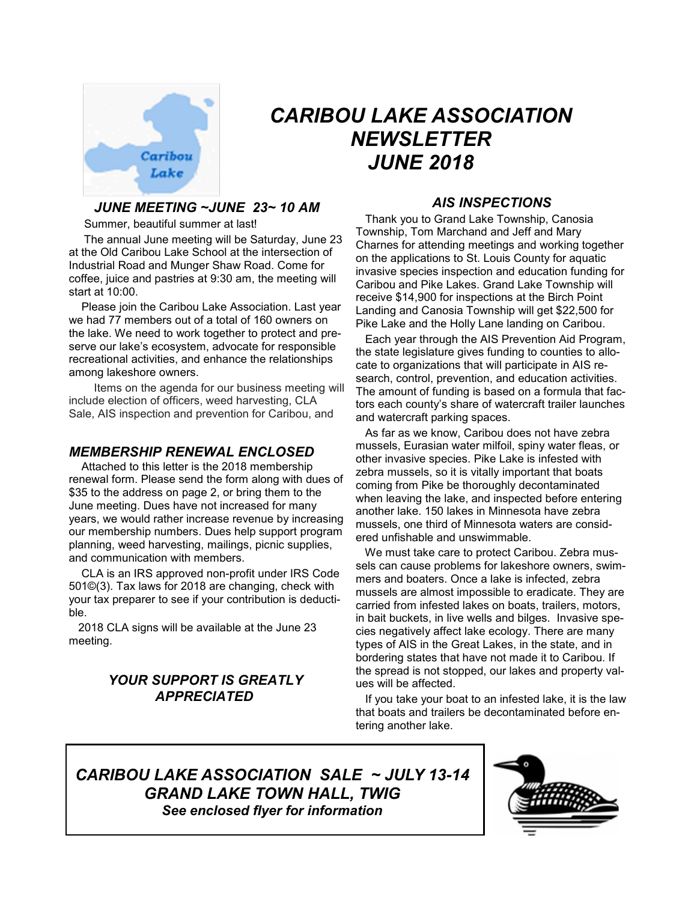

# *CARIBOU LAKE ASSOCIATION NEWSLETTER JUNE 2018*

#### *JUNE MEETING ~JUNE 23~ 10 AM*

Summer, beautiful summer at last!

 The annual June meeting will be Saturday, June 23 at the Old Caribou Lake School at the intersection of Industrial Road and Munger Shaw Road. Come for coffee, juice and pastries at 9:30 am, the meeting will start at 10:00.

 Please join the Caribou Lake Association. Last year we had 77 members out of a total of 160 owners on the lake. We need to work together to protect and preserve our lake's ecosystem, advocate for responsible recreational activities, and enhance the relationships among lakeshore owners.

 Items on the agenda for our business meeting will include election of officers, weed harvesting, CLA Sale, AIS inspection and prevention for Caribou, and

## *MEMBERSHIP RENEWAL ENCLOSED*

 Attached to this letter is the 2018 membership renewal form. Please send the form along with dues of \$35 to the address on page 2, or bring them to the June meeting. Dues have not increased for many years, we would rather increase revenue by increasing our membership numbers. Dues help support program planning, weed harvesting, mailings, picnic supplies, and communication with members.

 CLA is an IRS approved non-profit under IRS Code 501©(3). Tax laws for 2018 are changing, check with your tax preparer to see if your contribution is deductible.

 2018 CLA signs will be available at the June 23 meeting.

## *YOUR SUPPORT IS GREATLY APPRECIATED*

## *AIS INSPECTIONS*

 Thank you to Grand Lake Township, Canosia Township, Tom Marchand and Jeff and Mary Charnes for attending meetings and working together on the applications to St. Louis County for aquatic invasive species inspection and education funding for Caribou and Pike Lakes. Grand Lake Township will receive \$14,900 for inspections at the Birch Point Landing and Canosia Township will get \$22,500 for Pike Lake and the Holly Lane landing on Caribou.

 Each year through the AIS Prevention Aid Program, the state legislature gives funding to counties to allocate to organizations that will participate in AIS research, control, prevention, and education activities. The amount of funding is based on a formula that factors each county's share of watercraft trailer launches and watercraft parking spaces.

 As far as we know, Caribou does not have zebra mussels, Eurasian water milfoil, spiny water fleas, or other invasive species. Pike Lake is infested with zebra mussels, so it is vitally important that boats coming from Pike be thoroughly decontaminated when leaving the lake, and inspected before entering another lake. 150 lakes in Minnesota have zebra mussels, one third of Minnesota waters are considered unfishable and unswimmable.

 We must take care to protect Caribou. Zebra mussels can cause problems for lakeshore owners, swimmers and boaters. Once a lake is infected, zebra mussels are almost impossible to eradicate. They are carried from infested lakes on boats, trailers, motors, in bait buckets, in live wells and bilges. Invasive species negatively affect lake ecology. There are many types of AIS in the Great Lakes, in the state, and in bordering states that have not made it to Caribou. If the spread is not stopped, our lakes and property values will be affected.

 If you take your boat to an infested lake, it is the law that boats and trailers be decontaminated before entering another lake.

*CARIBOU LAKE ASSOCIATION SALE ~ JULY 13-14 GRAND LAKE TOWN HALL, TWIG See enclosed flyer for information*